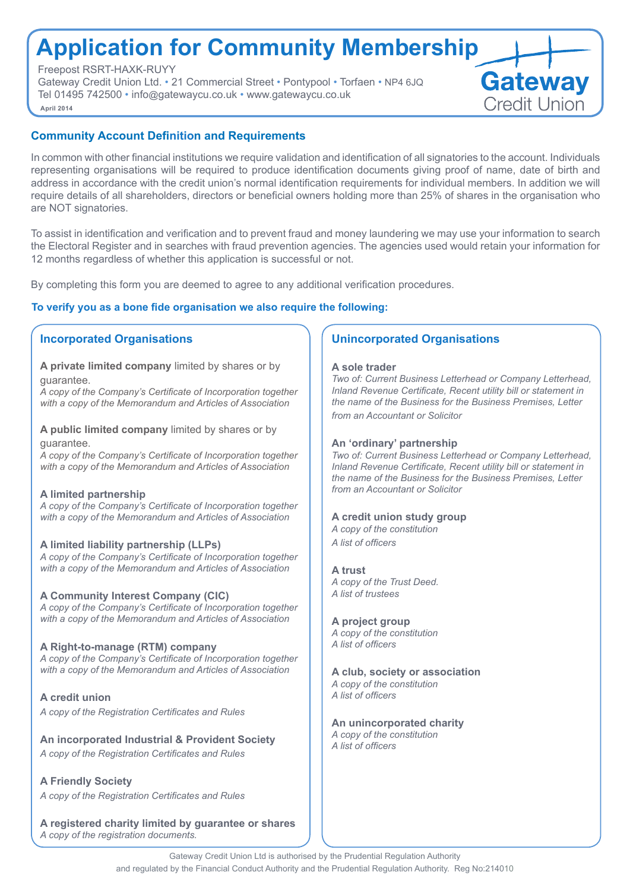# **Application for Community Membership**

Freepost RSRT-HAXK-RUYY

Gateway Credit Union Ltd. • 21 Commercial Street • Pontypool • Torfaen • NP4 6JQ Tel 01495 742500 • info@gatewaycu.co.uk • www.gatewaycu.co.uk **April 2014**



## **Community Account Definition and Requirements**

In common with other financial institutions we require validation and identification of all signatories to the account. Individuals representing organisations will be required to produce identification documents giving proof of name, date of birth and address in accordance with the credit union's normal identification requirements for individual members. In addition we will require details of all shareholders, directors or beneficial owners holding more than 25% of shares in the organisation who are NOT signatories.

To assist in identification and verification and to prevent fraud and money laundering we may use your information to search the Electoral Register and in searches with fraud prevention agencies. The agencies used would retain your information for 12 months regardless of whether this application is successful or not.

By completing this form you are deemed to agree to any additional verification procedures.

## **To verify you as a bone fide organisation we also require the following:**

## **Incorporated Organisations**

**A private limited company** limited by shares or by guarantee.

*A copy of the Company's Certificate of Incorporation together with a copy of the Memorandum and Articles of Association*

**A public limited company** limited by shares or by guarantee.

*A copy of the Company's Certificate of Incorporation together with a copy of the Memorandum and Articles of Association* 

## **A limited partnership**

*A copy of the Company's Certificate of Incorporation together with a copy of the Memorandum and Articles of Association* 

## **A limited liability partnership (LLPs)**

*A copy of the Company's Certificate of Incorporation together with a copy of the Memorandum and Articles of Association* 

## **A Community Interest Company (CIC)**

*A copy of the Company's Certificate of Incorporation together with a copy of the Memorandum and Articles of Association* 

## **A Right-to-manage (RTM) company**

*A copy of the Company's Certificate of Incorporation together with a copy of the Memorandum and Articles of Association* 

**A credit union** *A copy of the Registration Certificates and Rules*

**An incorporated Industrial & Provident Society** *A copy of the Registration Certificates and Rules*

**A Friendly Society** *A copy of the Registration Certificates and Rules*

**A registered charity limited by guarantee or shares**  *A copy of the registration documents.*

## **Unincorporated Organisations**

### **A sole trader**

*Two of: Current Business Letterhead or Company Letterhead, Inland Revenue Certificate, Recent utility bill or statement in the name of the Business for the Business Premises, Letter from an Accountant or Solicitor* 

### **An 'ordinary' partnership**

*Two of: Current Business Letterhead or Company Letterhead, Inland Revenue Certificate, Recent utility bill or statement in the name of the Business for the Business Premises, Letter from an Accountant or Solicitor* 

## **A credit union study group**

*A copy of the constitution A list of officers* 

**A trust** 

*A copy of the Trust Deed. A list of trustees* 

### **A project group**

*A copy of the constitution A list of officers* 

### **A club, society or association** *A copy of the constitution*

*A list of officers* 

**An unincorporated charity**  *A copy of the constitution A list of officers*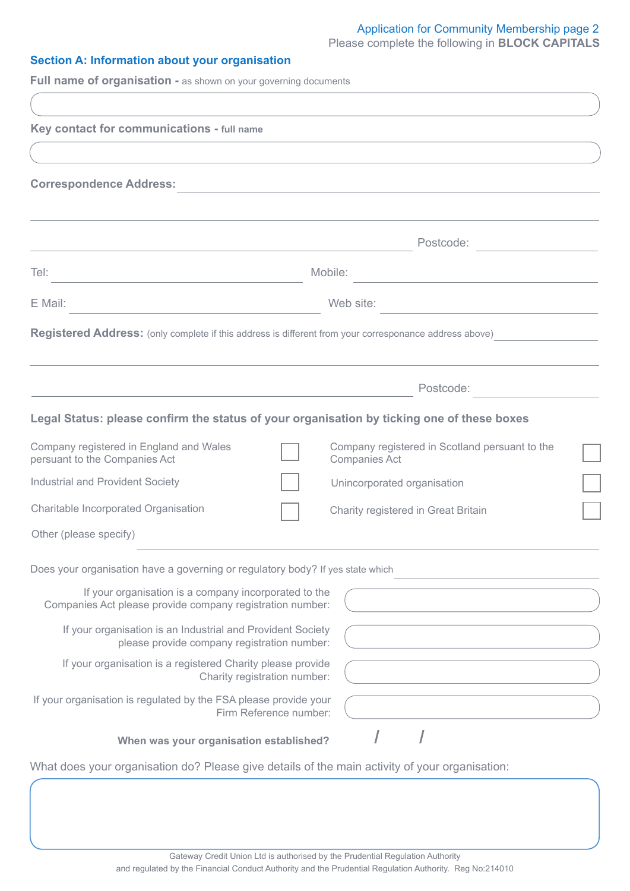# Application for Community Membership page 2

Please complete the following in **BLOCK CAPITALS**

## **Section A: Information about your organisation**

**Full name of organisation -** as shown on your governing documents

| Postcode:<br>Mobile:<br>Web site:<br><u> 1989 - Johann Harry Harry Harry Harry Harry Harry Harry Harry Harry Harry Harry Harry Harry Harry Harry Harry</u><br>Postcode:<br>Company registered in Scotland persuant to the<br><b>Companies Act</b><br>Unincorporated organisation<br>Charity registered in Great Britain<br>If your organisation is a company incorporated to the<br>Companies Act please provide company registration number:<br>If your organisation is an Industrial and Provident Society<br>please provide company registration number:<br>If your organisation is a registered Charity please provide<br>Charity registration number:<br>Firm Reference number:<br>When was your organisation established?                                 |  |
|-----------------------------------------------------------------------------------------------------------------------------------------------------------------------------------------------------------------------------------------------------------------------------------------------------------------------------------------------------------------------------------------------------------------------------------------------------------------------------------------------------------------------------------------------------------------------------------------------------------------------------------------------------------------------------------------------------------------------------------------------------------------|--|
|                                                                                                                                                                                                                                                                                                                                                                                                                                                                                                                                                                                                                                                                                                                                                                 |  |
|                                                                                                                                                                                                                                                                                                                                                                                                                                                                                                                                                                                                                                                                                                                                                                 |  |
|                                                                                                                                                                                                                                                                                                                                                                                                                                                                                                                                                                                                                                                                                                                                                                 |  |
|                                                                                                                                                                                                                                                                                                                                                                                                                                                                                                                                                                                                                                                                                                                                                                 |  |
| Key contact for communications - full name<br><b>Correspondence Address:</b><br>Tel:<br>E Mail:<br><b>Registered Address:</b> (only complete if this address is different from your corresponance address above)<br>Legal Status: please confirm the status of your organisation by ticking one of these boxes<br>Company registered in England and Wales<br>persuant to the Companies Act<br><b>Industrial and Provident Society</b><br>Charitable Incorporated Organisation<br>Other (please specify)<br>Does your organisation have a governing or regulatory body? If yes state which<br>If your organisation is regulated by the FSA please provide your<br>What does your organisation do? Please give details of the main activity of your organisation: |  |
|                                                                                                                                                                                                                                                                                                                                                                                                                                                                                                                                                                                                                                                                                                                                                                 |  |
|                                                                                                                                                                                                                                                                                                                                                                                                                                                                                                                                                                                                                                                                                                                                                                 |  |
|                                                                                                                                                                                                                                                                                                                                                                                                                                                                                                                                                                                                                                                                                                                                                                 |  |
|                                                                                                                                                                                                                                                                                                                                                                                                                                                                                                                                                                                                                                                                                                                                                                 |  |
|                                                                                                                                                                                                                                                                                                                                                                                                                                                                                                                                                                                                                                                                                                                                                                 |  |
|                                                                                                                                                                                                                                                                                                                                                                                                                                                                                                                                                                                                                                                                                                                                                                 |  |
|                                                                                                                                                                                                                                                                                                                                                                                                                                                                                                                                                                                                                                                                                                                                                                 |  |
|                                                                                                                                                                                                                                                                                                                                                                                                                                                                                                                                                                                                                                                                                                                                                                 |  |
|                                                                                                                                                                                                                                                                                                                                                                                                                                                                                                                                                                                                                                                                                                                                                                 |  |
|                                                                                                                                                                                                                                                                                                                                                                                                                                                                                                                                                                                                                                                                                                                                                                 |  |
|                                                                                                                                                                                                                                                                                                                                                                                                                                                                                                                                                                                                                                                                                                                                                                 |  |
|                                                                                                                                                                                                                                                                                                                                                                                                                                                                                                                                                                                                                                                                                                                                                                 |  |
|                                                                                                                                                                                                                                                                                                                                                                                                                                                                                                                                                                                                                                                                                                                                                                 |  |
|                                                                                                                                                                                                                                                                                                                                                                                                                                                                                                                                                                                                                                                                                                                                                                 |  |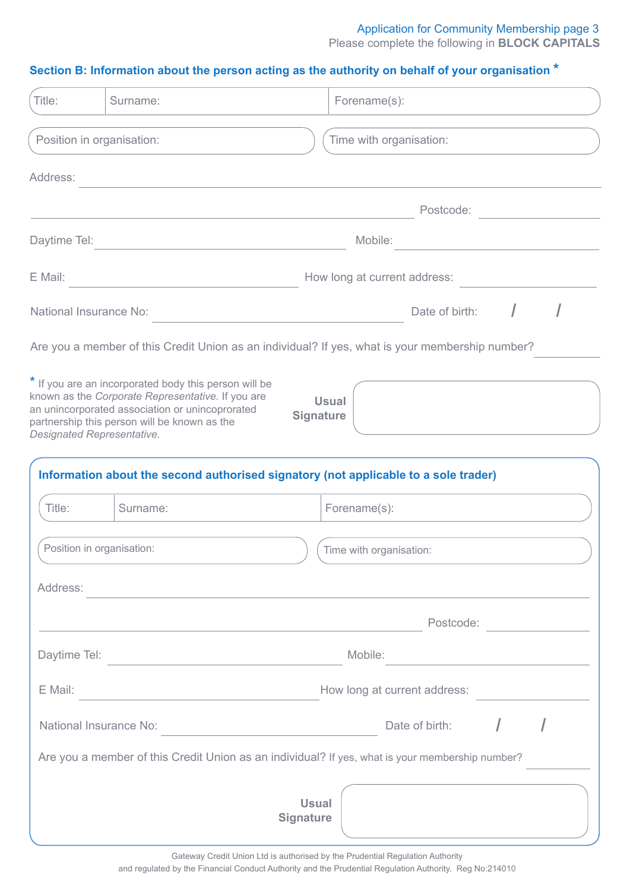## **Section B: Information about the person acting as the authority on behalf of your organisation \***

| Title:       | Surname:                                                                                                                                                                                                                                    | Forename(s):                                                                                                            |
|--------------|---------------------------------------------------------------------------------------------------------------------------------------------------------------------------------------------------------------------------------------------|-------------------------------------------------------------------------------------------------------------------------|
|              | Position in organisation:                                                                                                                                                                                                                   | Time with organisation:                                                                                                 |
| Address:     |                                                                                                                                                                                                                                             |                                                                                                                         |
|              |                                                                                                                                                                                                                                             | Postcode:                                                                                                               |
| Daytime Tel: |                                                                                                                                                                                                                                             | Mobile:                                                                                                                 |
| E Mail:      |                                                                                                                                                                                                                                             | How long at current address:                                                                                            |
|              | National Insurance No:                                                                                                                                                                                                                      | Date of birth:                                                                                                          |
|              |                                                                                                                                                                                                                                             | Are you a member of this Credit Union as an individual? If yes, what is your membership number?                         |
|              | * If you are an incorporated body this person will be<br>known as the Corporate Representative. If you are<br>an unincorporated association or unincoprorated<br>partnership this person will be known as the<br>Designated Representative. | <b>Usual</b><br><b>Signature</b><br>Information about the second authorised signatory (not applicable to a sole trader) |
| Title:       | Surname:                                                                                                                                                                                                                                    | Forename(s):                                                                                                            |
|              | Position in organisation:                                                                                                                                                                                                                   | Time with organisation:                                                                                                 |
| Address:     |                                                                                                                                                                                                                                             |                                                                                                                         |
|              |                                                                                                                                                                                                                                             | Postcode:                                                                                                               |
| Daytime Tel: | the control of the control of the control of the control of                                                                                                                                                                                 | Mobile:                                                                                                                 |
| E Mail:      | <u> 1980 - Johann Barbara, martxa alemaniar a</u>                                                                                                                                                                                           | How long at current address:                                                                                            |
|              | National Insurance No:                                                                                                                                                                                                                      | Date of birth:                                                                                                          |
|              |                                                                                                                                                                                                                                             | Are you a member of this Credit Union as an individual? If yes, what is your membership number?                         |
|              |                                                                                                                                                                                                                                             | <b>Usual</b><br><b>Signature</b>                                                                                        |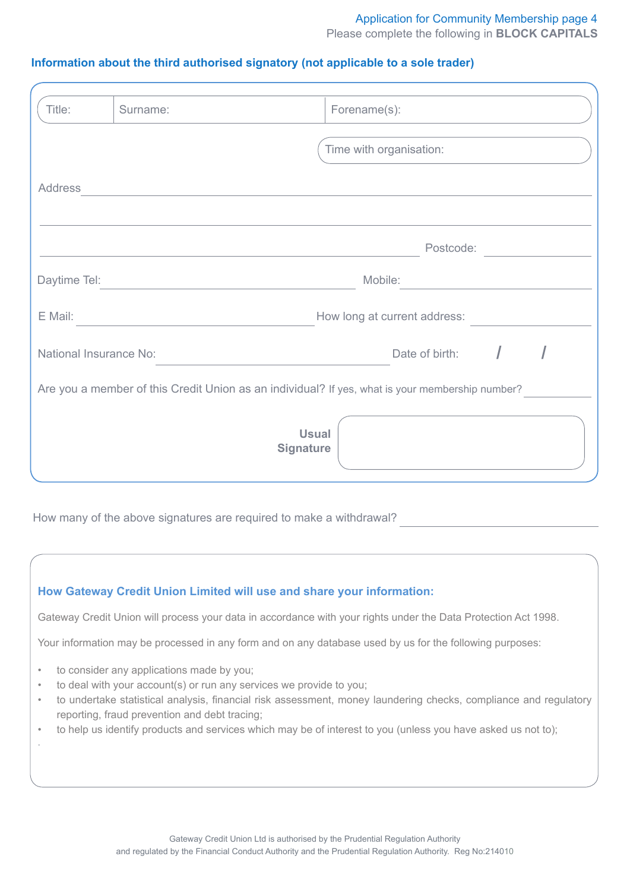## Application for Community Membership page 4

Please complete the following in **BLOCK CAPITALS**

## **Information about the third authorised signatory (not applicable to a sole trader)**

| Title:                 | Surname:                                                                                        |                                  | Forename(s):                 |                |  |  |
|------------------------|-------------------------------------------------------------------------------------------------|----------------------------------|------------------------------|----------------|--|--|
|                        |                                                                                                 |                                  | Time with organisation:      |                |  |  |
| <b>Address</b>         |                                                                                                 |                                  |                              |                |  |  |
|                        |                                                                                                 |                                  |                              | Postcode:      |  |  |
| Daytime Tel:           |                                                                                                 |                                  | Mobile:                      |                |  |  |
| E Mail:                |                                                                                                 |                                  | How long at current address: |                |  |  |
| National Insurance No: |                                                                                                 |                                  |                              | Date of birth: |  |  |
|                        | Are you a member of this Credit Union as an individual? If yes, what is your membership number? |                                  |                              |                |  |  |
|                        |                                                                                                 | <b>Usual</b><br><b>Signature</b> |                              |                |  |  |

How many of the above signatures are required to make a withdrawal?

## **How Gateway Credit Union Limited will use and share your information:**

Gateway Credit Union will process your data in accordance with your rights under the Data Protection Act 1998.

Your information may be processed in any form and on any database used by us for the following purposes:

to consider any applications made by you;

.

- to deal with your account(s) or run any services we provide to you;
- to undertake statistical analysis, financial risk assessment, money laundering checks, compliance and regulatory reporting, fraud prevention and debt tracing;
- to help us identify products and services which may be of interest to you (unless you have asked us not to);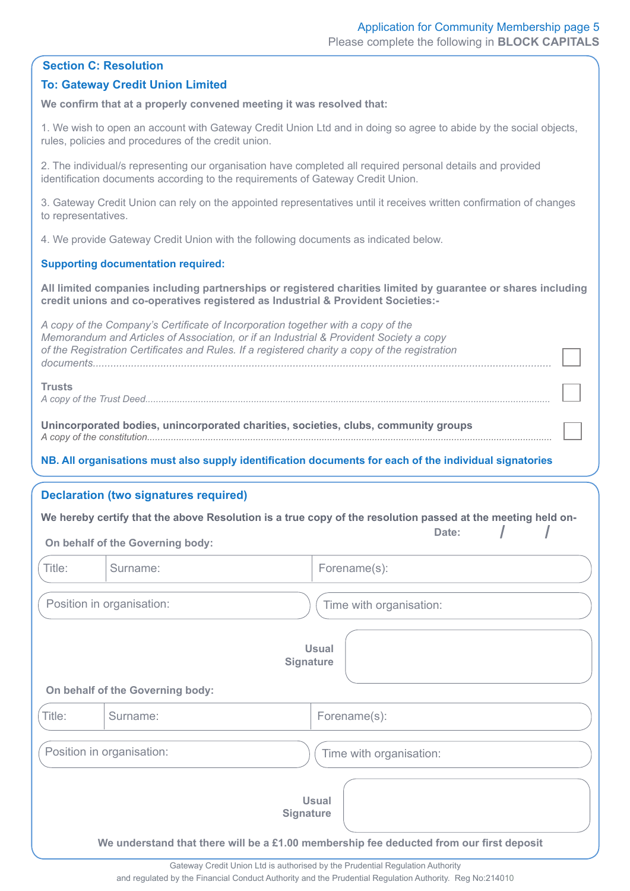|  | <b>Section C: Resolution</b> |  |  |  |
|--|------------------------------|--|--|--|
|--|------------------------------|--|--|--|

## **To: Gateway Credit Union Limited**

**We confirm that at a properly convened meeting it was resolved that:**

1. We wish to open an account with Gateway Credit Union Ltd and in doing so agree to abide by the social objects, rules, policies and procedures of the credit union.

2. The individual/s representing our organisation have completed all required personal details and provided identification documents according to the requirements of Gateway Credit Union.

3. Gateway Credit Union can rely on the appointed representatives until it receives written confirmation of changes to representatives.

4. We provide Gateway Credit Union with the following documents as indicated below.

## **Supporting documentation required:**

**All limited companies including partnerships or registered charities limited by guarantee or shares including credit unions and co-operatives registered as Industrial & Provident Societies:-**

*A copy of the Company's Certificate of Incorporation together with a copy of the Memorandum and Articles of Association, or if an Industrial & Provident Society a copy of the Registration Certificates and Rules. If a registered charity a copy of the registration documents............................................................................................................................................................*

### **Trusts**

*A copy of the Trust Deed.........................................................................................................................................................*

**Unincorporated bodies, unincorporated charities, societies, clubs, community groups**  *A copy of the constitution.........................................................................................................................................................*

## **NB. All organisations must also supply identification documents for each of the individual signatories**

## **Declaration (two signatures required)**

|                                           |                                  | We hereby certify that the above Resolution is a true copy of the resolution passed at the meeting held on-                 |  |
|-------------------------------------------|----------------------------------|-----------------------------------------------------------------------------------------------------------------------------|--|
| Date:<br>On behalf of the Governing body: |                                  |                                                                                                                             |  |
| Title:                                    | Surname:                         | Forename(s):                                                                                                                |  |
|                                           | Position in organisation:        | Time with organisation:                                                                                                     |  |
|                                           | On behalf of the Governing body: | <b>Usual</b><br><b>Signature</b>                                                                                            |  |
| Title:                                    | Surname:                         | Forename(s):                                                                                                                |  |
|                                           | Position in organisation:        | Time with organisation:                                                                                                     |  |
|                                           |                                  | <b>Usual</b><br><b>Signature</b><br>We understand that there will be a £1.00 membership fee deducted from our first deposit |  |

Gateway Credit Union Ltd is authorised by the Prudential Regulation Authority

and regulated by the Financial Conduct Authority and the Prudential Regulation Authority. Reg No:214010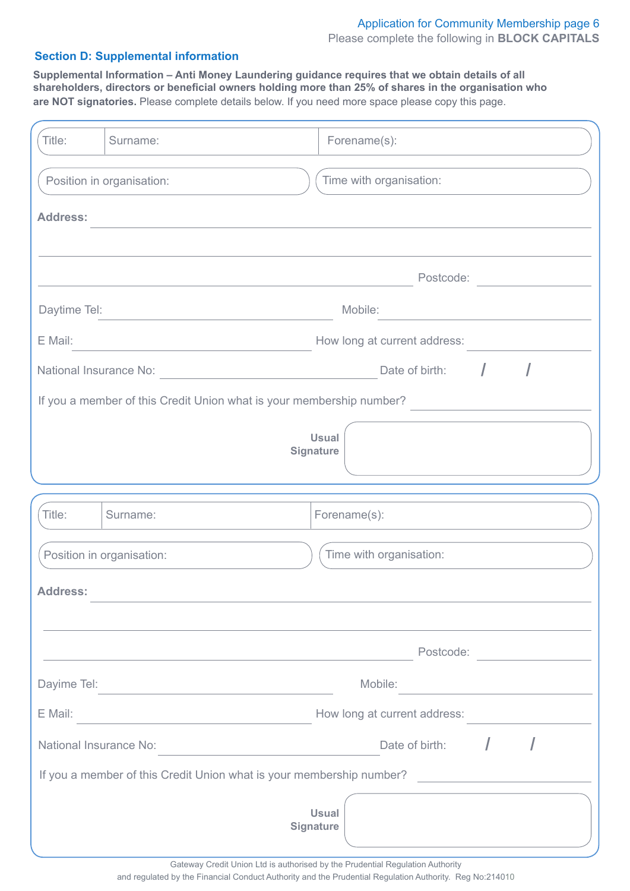## Please complete the following in **BLOCK CAPITALS** Application for Community Membership page 6

## **Section D: Supplemental information**

**Supplemental Information – Anti Money Laundering guidance requires that we obtain details of all shareholders, directors or beneficial owners holding more than 25% of shares in the organisation who are NOT signatories.** Please complete details below. If you need more space please copy this page.

| Title:                 | Surname:                                                             | Forename(s):                                                                                                         |
|------------------------|----------------------------------------------------------------------|----------------------------------------------------------------------------------------------------------------------|
|                        | Position in organisation:                                            | Time with organisation:                                                                                              |
| <b>Address:</b>        |                                                                      |                                                                                                                      |
|                        |                                                                      |                                                                                                                      |
|                        |                                                                      | Postcode:                                                                                                            |
| Daytime Tel:           |                                                                      | Mobile:                                                                                                              |
| E Mail:                |                                                                      | How long at current address:                                                                                         |
| National Insurance No: |                                                                      | Date of birth: $\sqrt{ }$                                                                                            |
|                        | If you a member of this Credit Union what is your membership number? |                                                                                                                      |
|                        |                                                                      | <b>Usual</b>                                                                                                         |
|                        |                                                                      | <b>Signature</b>                                                                                                     |
|                        |                                                                      |                                                                                                                      |
| Title:                 | Surname:                                                             | Forename(s):                                                                                                         |
|                        | Position in organisation:                                            | Time with organisation:                                                                                              |
| <b>Address:</b>        |                                                                      |                                                                                                                      |
|                        |                                                                      |                                                                                                                      |
|                        |                                                                      | Postcode:                                                                                                            |
| Dayime Tel:            |                                                                      | Mobile:                                                                                                              |
| E Mail:                |                                                                      | How long at current address:                                                                                         |
| National Insurance No: | <u> 1989 - John Stein, Amerikaansk politiker (</u>                   | Date of birth:                                                                                                       |
|                        | If you a member of this Credit Union what is your membership number? | <u> 1989 - Jan Stein Stein Stein Stein Stein Stein Stein Stein Stein Stein Stein Stein Stein Stein Stein Stein S</u> |
|                        |                                                                      | <b>Usual</b><br><b>Signature</b>                                                                                     |

and regulated by the Financial Conduct Authority and the Prudential Regulation Authority. Reg No:214010